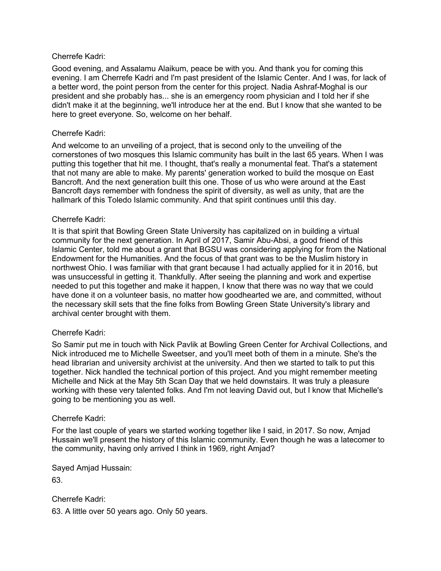## Cherrefe Kadri:

Good evening, and Assalamu Alaikum, peace be with you. And thank you for coming this evening. I am Cherrefe Kadri and I'm past president of the Islamic Center. And I was, for lack of a better word, the point person from the center for this project. Nadia Ashraf-Moghal is our president and she probably has... she is an emergency room physician and I told her if she didn't make it at the beginning, we'll introduce her at the end. But I know that she wanted to be here to greet everyone. So, welcome on her behalf.

## Cherrefe Kadri:

And welcome to an unveiling of a project, that is second only to the unveiling of the cornerstones of two mosques this Islamic community has built in the last 65 years. When I was putting this together that hit me. I thought, that's really a monumental feat. That's a statement that not many are able to make. My parents' generation worked to build the mosque on East Bancroft. And the next generation built this one. Those of us who were around at the East Bancroft days remember with fondness the spirit of diversity, as well as unity, that are the hallmark of this Toledo Islamic community. And that spirit continues until this day.

## Cherrefe Kadri:

It is that spirit that Bowling Green State University has capitalized on in building a virtual community for the next generation. In April of 2017, Samir Abu-Absi, a good friend of this Islamic Center, told me about a grant that BGSU was considering applying for from the National Endowment for the Humanities. And the focus of that grant was to be the Muslim history in northwest Ohio. I was familiar with that grant because I had actually applied for it in 2016, but was unsuccessful in getting it. Thankfully. After seeing the planning and work and expertise needed to put this together and make it happen, I know that there was no way that we could have done it on a volunteer basis, no matter how goodhearted we are, and committed, without the necessary skill sets that the fine folks from Bowling Green State University's library and archival center brought with them.

### Cherrefe Kadri:

So Samir put me in touch with Nick Pavlik at Bowling Green Center for Archival Collections, and Nick introduced me to Michelle Sweetser, and you'll meet both of them in a minute. She's the head librarian and university archivist at the university. And then we started to talk to put this together. Nick handled the technical portion of this project. And you might remember meeting Michelle and Nick at the May 5th Scan Day that we held downstairs. It was truly a pleasure working with these very talented folks. And I'm not leaving David out, but I know that Michelle's going to be mentioning you as well.

# Cherrefe Kadri:

For the last couple of years we started working together like I said, in 2017. So now, Amjad Hussain we'll present the history of this Islamic community. Even though he was a latecomer to the community, having only arrived I think in 1969, right Amjad?

Sayed Amjad Hussain:

63.

Cherrefe Kadri:

63. A little over 50 years ago. Only 50 years.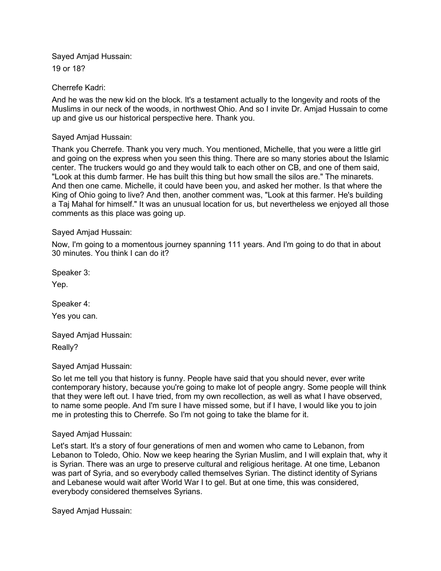Sayed Amjad Hussain: 19 or 18?

Cherrefe Kadri:

And he was the new kid on the block. It's a testament actually to the longevity and roots of the Muslims in our neck of the woods, in northwest Ohio. And so I invite Dr. Amjad Hussain to come up and give us our historical perspective here. Thank you.

Sayed Amjad Hussain:

Thank you Cherrefe. Thank you very much. You mentioned, Michelle, that you were a little girl and going on the express when you seen this thing. There are so many stories about the Islamic center. The truckers would go and they would talk to each other on CB, and one of them said, "Look at this dumb farmer. He has built this thing but how small the silos are." The minarets. And then one came. Michelle, it could have been you, and asked her mother. Is that where the King of Ohio going to live? And then, another comment was, "Look at this farmer. He's building a Taj Mahal for himself." It was an unusual location for us, but nevertheless we enjoyed all those comments as this place was going up.

Sayed Amjad Hussain:

Now, I'm going to a momentous journey spanning 111 years. And I'm going to do that in about 30 minutes. You think I can do it?

Speaker 3:

Yep.

Speaker 4:

Yes you can.

Sayed Amjad Hussain: Really?

Sayed Amjad Hussain:

So let me tell you that history is funny. People have said that you should never, ever write contemporary history, because you're going to make lot of people angry. Some people will think that they were left out. I have tried, from my own recollection, as well as what I have observed, to name some people. And I'm sure I have missed some, but if I have, I would like you to join me in protesting this to Cherrefe. So I'm not going to take the blame for it.

Sayed Amjad Hussain:

Let's start. It's a story of four generations of men and women who came to Lebanon, from Lebanon to Toledo, Ohio. Now we keep hearing the Syrian Muslim, and I will explain that, why it is Syrian. There was an urge to preserve cultural and religious heritage. At one time, Lebanon was part of Syria, and so everybody called themselves Syrian. The distinct identity of Syrians and Lebanese would wait after World War I to gel. But at one time, this was considered, everybody considered themselves Syrians.

Sayed Amjad Hussain: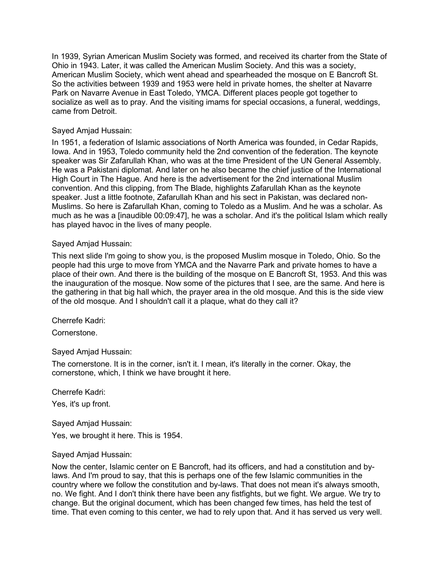In 1939, Syrian American Muslim Society was formed, and received its charter from the State of Ohio in 1943. Later, it was called the American Muslim Society. And this was a society, American Muslim Society, which went ahead and spearheaded the mosque on E Bancroft St. So the activities between 1939 and 1953 were held in private homes, the shelter at Navarre Park on Navarre Avenue in East Toledo, YMCA. Different places people got together to socialize as well as to pray. And the visiting imams for special occasions, a funeral, weddings, came from Detroit.

## Sayed Amjad Hussain:

In 1951, a federation of Islamic associations of North America was founded, in Cedar Rapids, Iowa. And in 1953, Toledo community held the 2nd convention of the federation. The keynote speaker was Sir Zafarullah Khan, who was at the time President of the UN General Assembly. He was a Pakistani diplomat. And later on he also became the chief justice of the International High Court in The Hague. And here is the advertisement for the 2nd international Muslim convention. And this clipping, from The Blade, highlights Zafarullah Khan as the keynote speaker. Just a little footnote, Zafarullah Khan and his sect in Pakistan, was declared non-Muslims. So here is Zafarullah Khan, coming to Toledo as a Muslim. And he was a scholar. As much as he was a [inaudible 00:09:47], he was a scholar. And it's the political Islam which really has played havoc in the lives of many people.

## Sayed Amjad Hussain:

This next slide I'm going to show you, is the proposed Muslim mosque in Toledo, Ohio. So the people had this urge to move from YMCA and the Navarre Park and private homes to have a place of their own. And there is the building of the mosque on E Bancroft St, 1953. And this was the inauguration of the mosque. Now some of the pictures that I see, are the same. And here is the gathering in that big hall which, the prayer area in the old mosque. And this is the side view of the old mosque. And I shouldn't call it a plaque, what do they call it?

### Cherrefe Kadri:

Cornerstone.

# Sayed Amjad Hussain:

The cornerstone. It is in the corner, isn't it. I mean, it's literally in the corner. Okay, the cornerstone, which, I think we have brought it here.

Cherrefe Kadri:

Yes, it's up front.

Sayed Amjad Hussain:

Yes, we brought it here. This is 1954.

### Sayed Amjad Hussain:

Now the center, Islamic center on E Bancroft, had its officers, and had a constitution and bylaws. And I'm proud to say, that this is perhaps one of the few Islamic communities in the country where we follow the constitution and by-laws. That does not mean it's always smooth, no. We fight. And I don't think there have been any fistfights, but we fight. We argue. We try to change. But the original document, which has been changed few times, has held the test of time. That even coming to this center, we had to rely upon that. And it has served us very well.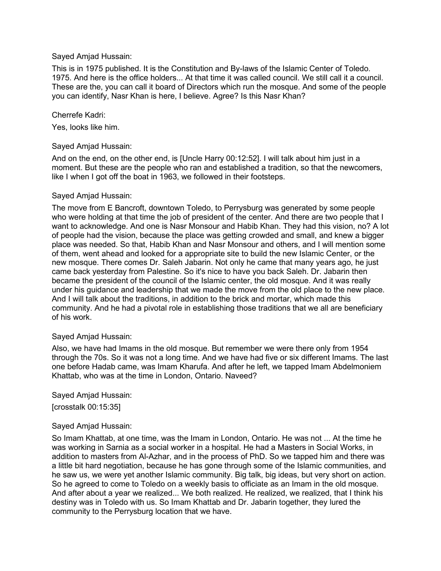## Sayed Amjad Hussain:

This is in 1975 published. It is the Constitution and By-laws of the Islamic Center of Toledo. 1975. And here is the office holders... At that time it was called council. We still call it a council. These are the, you can call it board of Directors which run the mosque. And some of the people you can identify, Nasr Khan is here, I believe. Agree? Is this Nasr Khan?

## Cherrefe Kadri:

Yes, looks like him.

## Sayed Amjad Hussain:

And on the end, on the other end, is [Uncle Harry 00:12:52]. I will talk about him just in a moment. But these are the people who ran and established a tradition, so that the newcomers, like I when I got off the boat in 1963, we followed in their footsteps.

### Sayed Amjad Hussain:

The move from E Bancroft, downtown Toledo, to Perrysburg was generated by some people who were holding at that time the job of president of the center. And there are two people that I want to acknowledge. And one is Nasr Monsour and Habib Khan. They had this vision, no? A lot of people had the vision, because the place was getting crowded and small, and knew a bigger place was needed. So that, Habib Khan and Nasr Monsour and others, and I will mention some of them, went ahead and looked for a appropriate site to build the new Islamic Center, or the new mosque. There comes Dr. Saleh Jabarin. Not only he came that many years ago, he just came back yesterday from Palestine. So it's nice to have you back Saleh. Dr. Jabarin then became the president of the council of the Islamic center, the old mosque. And it was really under his guidance and leadership that we made the move from the old place to the new place. And I will talk about the traditions, in addition to the brick and mortar, which made this community. And he had a pivotal role in establishing those traditions that we all are beneficiary of his work.

### Sayed Amjad Hussain:

Also, we have had Imams in the old mosque. But remember we were there only from 1954 through the 70s. So it was not a long time. And we have had five or six different Imams. The last one before Hadab came, was Imam Kharufa. And after he left, we tapped Imam Abdelmoniem Khattab, who was at the time in London, Ontario. Naveed?

Sayed Amjad Hussain:

[crosstalk 00:15:35]

### Sayed Amjad Hussain:

So Imam Khattab, at one time, was the Imam in London, Ontario. He was not ... At the time he was working in Sarnia as a social worker in a hospital. He had a Masters in Social Works, in addition to masters from Al-Azhar, and in the process of PhD. So we tapped him and there was a little bit hard negotiation, because he has gone through some of the Islamic communities, and he saw us, we were yet another Islamic community. Big talk, big ideas, but very short on action. So he agreed to come to Toledo on a weekly basis to officiate as an Imam in the old mosque. And after about a year we realized... We both realized. He realized, we realized, that I think his destiny was in Toledo with us. So Imam Khattab and Dr. Jabarin together, they lured the community to the Perrysburg location that we have.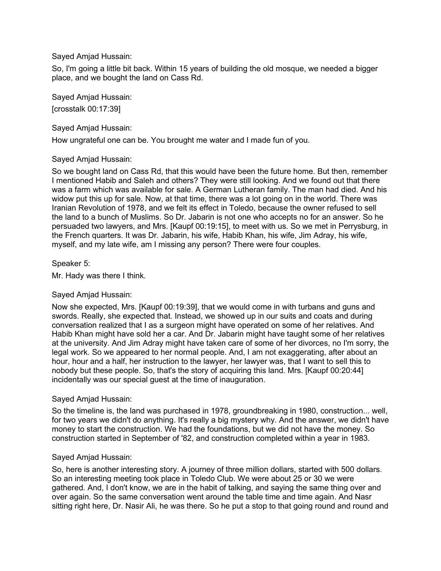## Sayed Amjad Hussain:

So, I'm going a little bit back. Within 15 years of building the old mosque, we needed a bigger place, and we bought the land on Cass Rd.

Sayed Amjad Hussain:

[crosstalk 00:17:39]

Sayed Amjad Hussain:

How ungrateful one can be. You brought me water and I made fun of you.

# Sayed Amjad Hussain:

So we bought land on Cass Rd, that this would have been the future home. But then, remember I mentioned Habib and Saleh and others? They were still looking. And we found out that there was a farm which was available for sale. A German Lutheran family. The man had died. And his widow put this up for sale. Now, at that time, there was a lot going on in the world. There was Iranian Revolution of 1978, and we felt its effect in Toledo, because the owner refused to sell the land to a bunch of Muslims. So Dr. Jabarin is not one who accepts no for an answer. So he persuaded two lawyers, and Mrs. [Kaupf 00:19:15], to meet with us. So we met in Perrysburg, in the French quarters. It was Dr. Jabarin, his wife, Habib Khan, his wife, Jim Adray, his wife, myself, and my late wife, am I missing any person? There were four couples.

## Speaker 5:

Mr. Hady was there I think.

# Sayed Amjad Hussain:

Now she expected, Mrs. [Kaupf 00:19:39], that we would come in with turbans and guns and swords. Really, she expected that. Instead, we showed up in our suits and coats and during conversation realized that I as a surgeon might have operated on some of her relatives. And Habib Khan might have sold her a car. And Dr. Jabarin might have taught some of her relatives at the university. And Jim Adray might have taken care of some of her divorces, no I'm sorry, the legal work. So we appeared to her normal people. And, I am not exaggerating, after about an hour, hour and a half, her instruction to the lawyer, her lawyer was, that I want to sell this to nobody but these people. So, that's the story of acquiring this land. Mrs. [Kaupf 00:20:44] incidentally was our special guest at the time of inauguration.

### Sayed Amjad Hussain:

So the timeline is, the land was purchased in 1978, groundbreaking in 1980, construction... well, for two years we didn't do anything. It's really a big mystery why. And the answer, we didn't have money to start the construction. We had the foundations, but we did not have the money. So construction started in September of '82, and construction completed within a year in 1983.

# Sayed Amjad Hussain:

So, here is another interesting story. A journey of three million dollars, started with 500 dollars. So an interesting meeting took place in Toledo Club. We were about 25 or 30 we were gathered. And, I don't know, we are in the habit of talking, and saying the same thing over and over again. So the same conversation went around the table time and time again. And Nasr sitting right here, Dr. Nasir Ali, he was there. So he put a stop to that going round and round and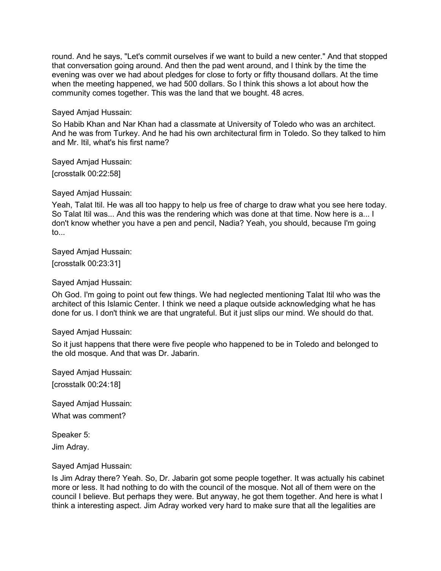round. And he says, "Let's commit ourselves if we want to build a new center." And that stopped that conversation going around. And then the pad went around, and I think by the time the evening was over we had about pledges for close to forty or fifty thousand dollars. At the time when the meeting happened, we had 500 dollars. So I think this shows a lot about how the community comes together. This was the land that we bought. 48 acres.

Sayed Amjad Hussain:

So Habib Khan and Nar Khan had a classmate at University of Toledo who was an architect. And he was from Turkey. And he had his own architectural firm in Toledo. So they talked to him and Mr. Itil, what's his first name?

Sayed Amjad Hussain: [crosstalk 00:22:58]

Sayed Amjad Hussain:

Yeah, Talat Itil. He was all too happy to help us free of charge to draw what you see here today. So Talat Itil was... And this was the rendering which was done at that time. Now here is a... I don't know whether you have a pen and pencil, Nadia? Yeah, you should, because I'm going to...

Sayed Amjad Hussain:

[crosstalk 00:23:31]

Sayed Amjad Hussain:

Oh God. I'm going to point out few things. We had neglected mentioning Talat Itil who was the architect of this Islamic Center. I think we need a plaque outside acknowledging what he has done for us. I don't think we are that ungrateful. But it just slips our mind. We should do that.

Sayed Amjad Hussain:

So it just happens that there were five people who happened to be in Toledo and belonged to the old mosque. And that was Dr. Jabarin.

Sayed Amjad Hussain: [crosstalk 00:24:18]

Sayed Amjad Hussain: What was comment?

Speaker 5: Jim Adray.

Sayed Amjad Hussain:

Is Jim Adray there? Yeah. So, Dr. Jabarin got some people together. It was actually his cabinet more or less. It had nothing to do with the council of the mosque. Not all of them were on the council I believe. But perhaps they were. But anyway, he got them together. And here is what I think a interesting aspect. Jim Adray worked very hard to make sure that all the legalities are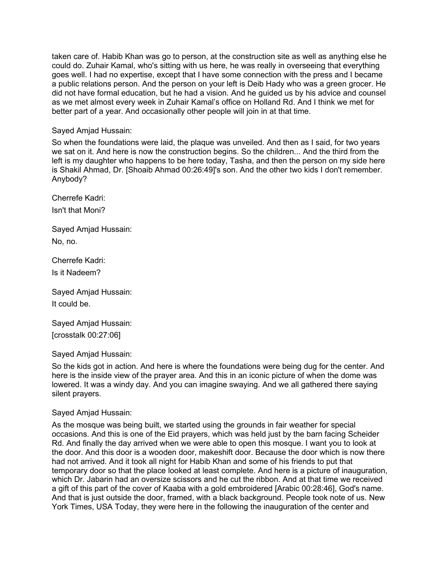taken care of. Habib Khan was go to person, at the construction site as well as anything else he could do. Zuhair Kamal, who's sitting with us here, he was really in overseeing that everything goes well. I had no expertise, except that I have some connection with the press and I became a public relations person. And the person on your left is Deib Hady who was a green grocer. He did not have formal education, but he had a vision. And he guided us by his advice and counsel as we met almost every week in Zuhair Kamal's office on Holland Rd. And I think we met for better part of a year. And occasionally other people will join in at that time.

Sayed Amjad Hussain:

So when the foundations were laid, the plaque was unveiled. And then as I said, for two years we sat on it. And here is now the construction begins. So the children... And the third from the left is my daughter who happens to be here today, Tasha, and then the person on my side here is Shakil Ahmad, Dr. [Shoaib Ahmad 00:26:49]'s son. And the other two kids I don't remember. Anybody?

Cherrefe Kadri: Isn't that Moni?

Sayed Amjad Hussain: No, no.

Cherrefe Kadri: Is it Nadeem?

Sayed Amjad Hussain: It could be.

Sayed Amjad Hussain: [crosstalk 00:27:06]

Sayed Amjad Hussain:

So the kids got in action. And here is where the foundations were being dug for the center. And here is the inside view of the prayer area. And this in an iconic picture of when the dome was lowered. It was a windy day. And you can imagine swaying. And we all gathered there saying silent prayers.

### Sayed Amjad Hussain:

As the mosque was being built, we started using the grounds in fair weather for special occasions. And this is one of the Eid prayers, which was held just by the barn facing Scheider Rd. And finally the day arrived when we were able to open this mosque. I want you to look at the door. And this door is a wooden door, makeshift door. Because the door which is now there had not arrived. And it took all night for Habib Khan and some of his friends to put that temporary door so that the place looked at least complete. And here is a picture of inauguration, which Dr. Jabarin had an oversize scissors and he cut the ribbon. And at that time we received a gift of this part of the cover of Kaaba with a gold embroidered [Arabic 00:28:46], God's name. And that is just outside the door, framed, with a black background. People took note of us. New York Times, USA Today, they were here in the following the inauguration of the center and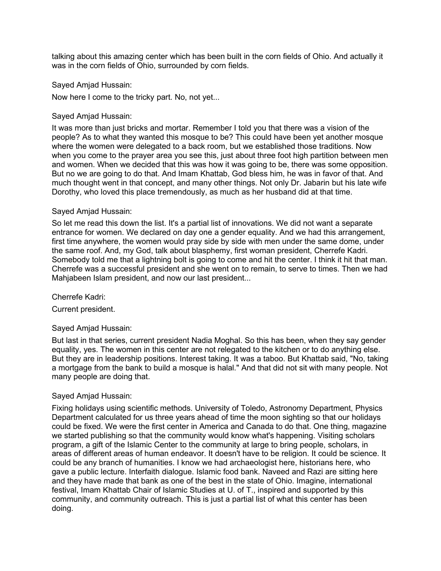talking about this amazing center which has been built in the corn fields of Ohio. And actually it was in the corn fields of Ohio, surrounded by corn fields.

Sayed Amjad Hussain:

Now here I come to the tricky part. No, not yet...

Sayed Amjad Hussain:

It was more than just bricks and mortar. Remember I told you that there was a vision of the people? As to what they wanted this mosque to be? This could have been yet another mosque where the women were delegated to a back room, but we established those traditions. Now when you come to the prayer area you see this, just about three foot high partition between men and women. When we decided that this was how it was going to be, there was some opposition. But no we are going to do that. And Imam Khattab, God bless him, he was in favor of that. And much thought went in that concept, and many other things. Not only Dr. Jabarin but his late wife Dorothy, who loved this place tremendously, as much as her husband did at that time.

## Sayed Amjad Hussain:

So let me read this down the list. It's a partial list of innovations. We did not want a separate entrance for women. We declared on day one a gender equality. And we had this arrangement, first time anywhere, the women would pray side by side with men under the same dome, under the same roof. And, my God, talk about blasphemy, first woman president, Cherrefe Kadri. Somebody told me that a lightning bolt is going to come and hit the center. I think it hit that man. Cherrefe was a successful president and she went on to remain, to serve to times. Then we had Mahjabeen Islam president, and now our last president...

Cherrefe Kadri:

Current president.

### Sayed Amjad Hussain:

But last in that series, current president Nadia Moghal. So this has been, when they say gender equality, yes. The women in this center are not relegated to the kitchen or to do anything else. But they are in leadership positions. Interest taking. It was a taboo. But Khattab said, "No, taking a mortgage from the bank to build a mosque is halal." And that did not sit with many people. Not many people are doing that.

# Sayed Amjad Hussain:

Fixing holidays using scientific methods. University of Toledo, Astronomy Department, Physics Department calculated for us three years ahead of time the moon sighting so that our holidays could be fixed. We were the first center in America and Canada to do that. One thing, magazine we started publishing so that the community would know what's happening. Visiting scholars program, a gift of the Islamic Center to the community at large to bring people, scholars, in areas of different areas of human endeavor. It doesn't have to be religion. It could be science. It could be any branch of humanities. I know we had archaeologist here, historians here, who gave a public lecture. Interfaith dialogue. Islamic food bank. Naveed and Razi are sitting here and they have made that bank as one of the best in the state of Ohio. Imagine, international festival, Imam Khattab Chair of Islamic Studies at U. of T., inspired and supported by this community, and community outreach. This is just a partial list of what this center has been doing.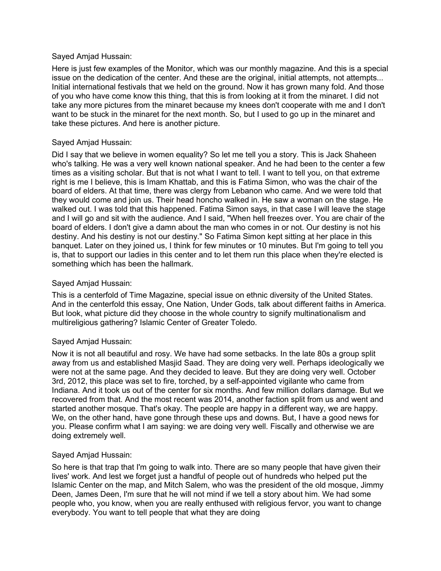### Sayed Amjad Hussain:

Here is just few examples of the Monitor, which was our monthly magazine. And this is a special issue on the dedication of the center. And these are the original, initial attempts, not attempts... Initial international festivals that we held on the ground. Now it has grown many fold. And those of you who have come know this thing, that this is from looking at it from the minaret. I did not take any more pictures from the minaret because my knees don't cooperate with me and I don't want to be stuck in the minaret for the next month. So, but I used to go up in the minaret and take these pictures. And here is another picture.

## Sayed Amjad Hussain:

Did I say that we believe in women equality? So let me tell you a story. This is Jack Shaheen who's talking. He was a very well known national speaker. And he had been to the center a few times as a visiting scholar. But that is not what I want to tell. I want to tell you, on that extreme right is me I believe, this is Imam Khattab, and this is Fatima Simon, who was the chair of the board of elders. At that time, there was clergy from Lebanon who came. And we were told that they would come and join us. Their head honcho walked in. He saw a woman on the stage. He walked out. I was told that this happened. Fatima Simon says, in that case I will leave the stage and I will go and sit with the audience. And I said, "When hell freezes over. You are chair of the board of elders. I don't give a damn about the man who comes in or not. Our destiny is not his destiny. And his destiny is not our destiny." So Fatima Simon kept sitting at her place in this banquet. Later on they joined us, I think for few minutes or 10 minutes. But I'm going to tell you is, that to support our ladies in this center and to let them run this place when they're elected is something which has been the hallmark.

## Sayed Amjad Hussain:

This is a centerfold of Time Magazine, special issue on ethnic diversity of the United States. And in the centerfold this essay, One Nation, Under Gods, talk about different faiths in America. But look, what picture did they choose in the whole country to signify multinationalism and multireligious gathering? Islamic Center of Greater Toledo.

# Sayed Amjad Hussain:

Now it is not all beautiful and rosy. We have had some setbacks. In the late 80s a group split away from us and established Masjid Saad. They are doing very well. Perhaps ideologically we were not at the same page. And they decided to leave. But they are doing very well. October 3rd, 2012, this place was set to fire, torched, by a self-appointed vigilante who came from Indiana. And it took us out of the center for six months. And few million dollars damage. But we recovered from that. And the most recent was 2014, another faction split from us and went and started another mosque. That's okay. The people are happy in a different way, we are happy. We, on the other hand, have gone through these ups and downs. But, I have a good news for you. Please confirm what I am saying: we are doing very well. Fiscally and otherwise we are doing extremely well.

### Sayed Amjad Hussain:

So here is that trap that I'm going to walk into. There are so many people that have given their lives' work. And lest we forget just a handful of people out of hundreds who helped put the Islamic Center on the map, and Mitch Salem, who was the president of the old mosque, Jimmy Deen, James Deen, I'm sure that he will not mind if we tell a story about him. We had some people who, you know, when you are really enthused with religious fervor, you want to change everybody. You want to tell people that what they are doing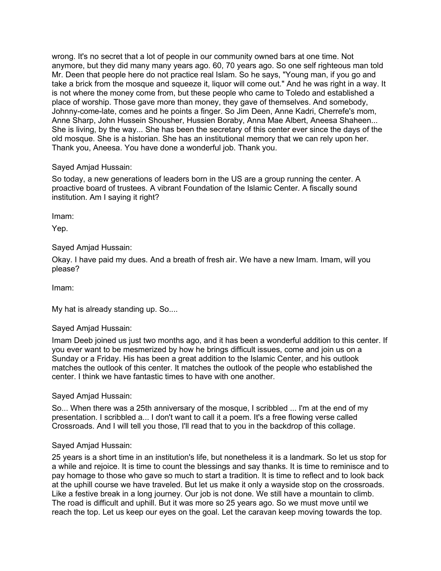wrong. It's no secret that a lot of people in our community owned bars at one time. Not anymore, but they did many many years ago. 60, 70 years ago. So one self righteous man told Mr. Deen that people here do not practice real Islam. So he says, "Young man, if you go and take a brick from the mosque and squeeze it, liquor will come out." And he was right in a way. It is not where the money come from, but these people who came to Toledo and established a place of worship. Those gave more than money, they gave of themselves. And somebody, Johnny-come-late, comes and he points a finger. So Jim Deen, Anne Kadri, Cherrefe's mom, Anne Sharp, John Hussein Shousher, Hussien Boraby, Anna Mae Albert, Aneesa Shaheen... She is living, by the way... She has been the secretary of this center ever since the days of the old mosque. She is a historian. She has an institutional memory that we can rely upon her. Thank you, Aneesa. You have done a wonderful job. Thank you.

## Sayed Amjad Hussain:

So today, a new generations of leaders born in the US are a group running the center. A proactive board of trustees. A vibrant Foundation of the Islamic Center. A fiscally sound institution. Am I saying it right?

Imam:

Yep.

# Sayed Amjad Hussain:

Okay. I have paid my dues. And a breath of fresh air. We have a new Imam. Imam, will you please?

Imam:

My hat is already standing up. So....

# Sayed Amjad Hussain:

Imam Deeb joined us just two months ago, and it has been a wonderful addition to this center. If you ever want to be mesmerized by how he brings difficult issues, come and join us on a Sunday or a Friday. His has been a great addition to the Islamic Center, and his outlook matches the outlook of this center. It matches the outlook of the people who established the center. I think we have fantastic times to have with one another.

Sayed Amjad Hussain:

So... When there was a 25th anniversary of the mosque, I scribbled ... I'm at the end of my presentation. I scribbled a... I don't want to call it a poem. It's a free flowing verse called Crossroads. And I will tell you those, I'll read that to you in the backdrop of this collage.

### Sayed Amjad Hussain:

25 years is a short time in an institution's life, but nonetheless it is a landmark. So let us stop for a while and rejoice. It is time to count the blessings and say thanks. It is time to reminisce and to pay homage to those who gave so much to start a tradition. It is time to reflect and to look back at the uphill course we have traveled. But let us make it only a wayside stop on the crossroads. Like a festive break in a long journey. Our job is not done. We still have a mountain to climb. The road is difficult and uphill. But it was more so 25 years ago. So we must move until we reach the top. Let us keep our eyes on the goal. Let the caravan keep moving towards the top.